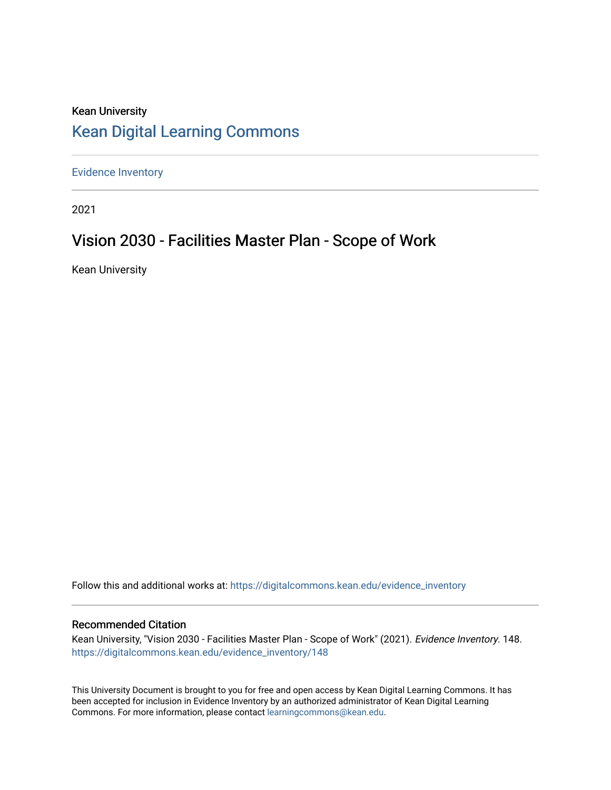# Kean University [Kean Digital Learning Commons](https://digitalcommons.kean.edu/)

[Evidence Inventory](https://digitalcommons.kean.edu/evidence_inventory) 

2021

# Vision 2030 - Facilities Master Plan - Scope of Work

Kean University

Follow this and additional works at: [https://digitalcommons.kean.edu/evidence\\_inventory](https://digitalcommons.kean.edu/evidence_inventory?utm_source=digitalcommons.kean.edu%2Fevidence_inventory%2F148&utm_medium=PDF&utm_campaign=PDFCoverPages)

#### Recommended Citation

Kean University, "Vision 2030 - Facilities Master Plan - Scope of Work" (2021). Evidence Inventory. 148. [https://digitalcommons.kean.edu/evidence\\_inventory/148](https://digitalcommons.kean.edu/evidence_inventory/148?utm_source=digitalcommons.kean.edu%2Fevidence_inventory%2F148&utm_medium=PDF&utm_campaign=PDFCoverPages)

This University Document is brought to you for free and open access by Kean Digital Learning Commons. It has been accepted for inclusion in Evidence Inventory by an authorized administrator of Kean Digital Learning Commons. For more information, please contact [learningcommons@kean.edu.](mailto:learningcommons@kean.edu)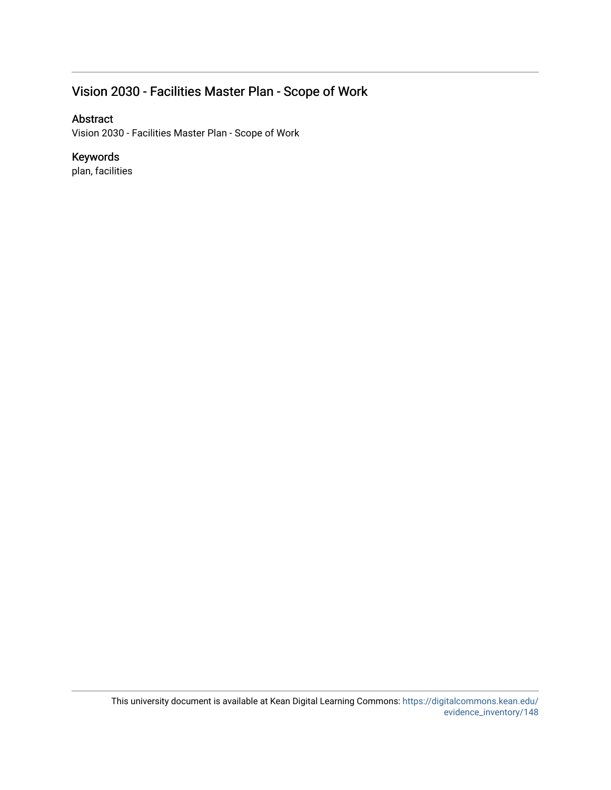## Vision 2030 - Facilities Master Plan - Scope of Work

#### Abstract

Vision 2030 - Facilities Master Plan - Scope of Work

#### Keywords

plan, facilities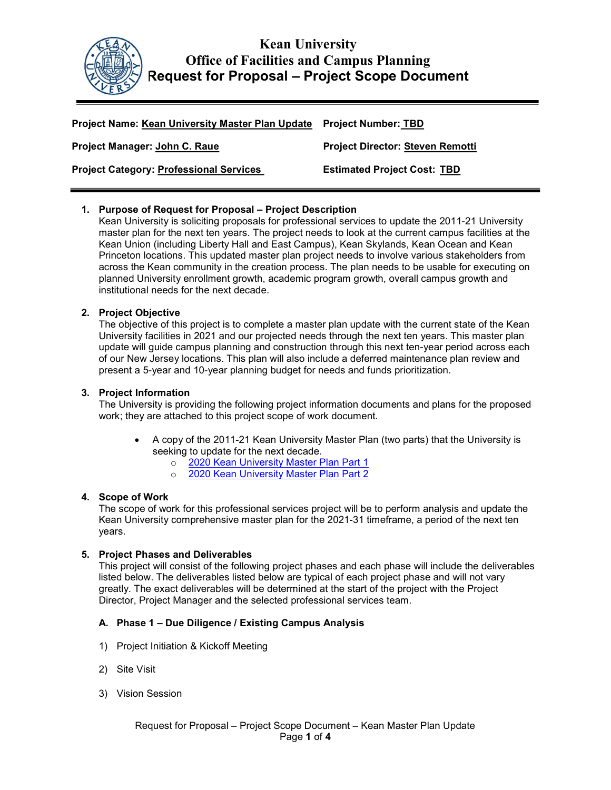

## Kean University Office of Facilities and Campus Planning Request for Proposal – Project Scope Document

| Project Name: Kean University Master Plan Update Project Number: TBD |                                         |
|----------------------------------------------------------------------|-----------------------------------------|
| Project Manager: John C. Raue                                        | <b>Project Director: Steven Remotti</b> |
| <b>Project Category: Professional Services</b>                       | <b>Estimated Project Cost: TBD</b>      |

#### 1. Purpose of Request for Proposal – Project Description

Kean University is soliciting proposals for professional services to update the 2011-21 University master plan for the next ten years. The project needs to look at the current campus facilities at the Kean Union (including Liberty Hall and East Campus), Kean Skylands, Kean Ocean and Kean Princeton locations. This updated master plan project needs to involve various stakeholders from across the Kean community in the creation process. The plan needs to be usable for executing on planned University enrollment growth, academic program growth, overall campus growth and institutional needs for the next decade.

#### 2. Project Objective

The objective of this project is to complete a master plan update with the current state of the Kean University facilities in 2021 and our projected needs through the next ten years. This master plan update will guide campus planning and construction through this next ten-year period across each of our New Jersey locations. This plan will also include a deferred maintenance plan review and present a 5-year and 10-year planning budget for needs and funds prioritization.

#### 3. Project Information

The University is providing the following project information documents and plans for the proposed work; they are attached to this project scope of work document.

- A copy of the 2011-21 Kean University Master Plan (two parts) that the University is seeking to update for the next decade.
	- o 2020 Kean University Master Plan Part 1
	- o 2020 Kean University Master Plan Part 2

#### 4. Scope of Work

The scope of work for this professional services project will be to perform analysis and update the Kean University comprehensive master plan for the 2021-31 timeframe, a period of the next ten years.

#### 5. Project Phases and Deliverables

This project will consist of the following project phases and each phase will include the deliverables listed below. The deliverables listed below are typical of each project phase and will not vary greatly. The exact deliverables will be determined at the start of the project with the Project Director, Project Manager and the selected professional services team.

#### A. Phase 1 – Due Diligence / Existing Campus Analysis

- 1) Project Initiation & Kickoff Meeting
- 2) Site Visit
- 3) Vision Session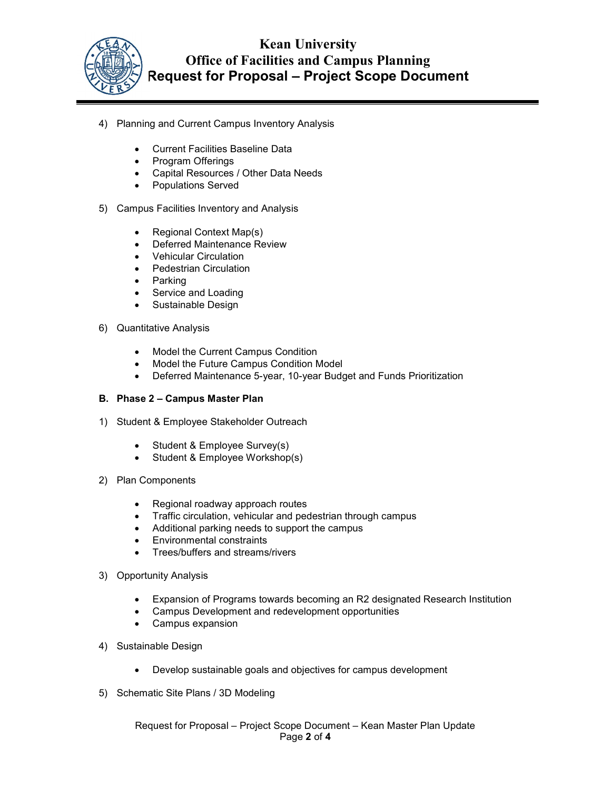

## Kean University Office of Facilities and Campus Planning Request for Proposal – Project Scope Document

- 4) Planning and Current Campus Inventory Analysis
	- Current Facilities Baseline Data
	- Program Offerings
	- Capital Resources / Other Data Needs
	- Populations Served
- 5) Campus Facilities Inventory and Analysis
	- Regional Context Map(s)
	- Deferred Maintenance Review
	- Vehicular Circulation
	- Pedestrian Circulation
	- Parking
	- Service and Loading
	- Sustainable Design
- 6) Quantitative Analysis
	- Model the Current Campus Condition
	- Model the Future Campus Condition Model
	- Deferred Maintenance 5-year, 10-year Budget and Funds Prioritization

#### B. Phase 2 – Campus Master Plan

- 1) Student & Employee Stakeholder Outreach
	- Student & Employee Survey(s)
	- Student & Employee Workshop(s)
- 2) Plan Components
	- Regional roadway approach routes
	- Traffic circulation, vehicular and pedestrian through campus
	- Additional parking needs to support the campus
	- Environmental constraints
	- Trees/buffers and streams/rivers
- 3) Opportunity Analysis
	- Expansion of Programs towards becoming an R2 designated Research Institution
	- Campus Development and redevelopment opportunities
	- Campus expansion
- 4) Sustainable Design
	- Develop sustainable goals and objectives for campus development
- 5) Schematic Site Plans / 3D Modeling

Request for Proposal – Project Scope Document – Kean Master Plan Update Page 2 of 4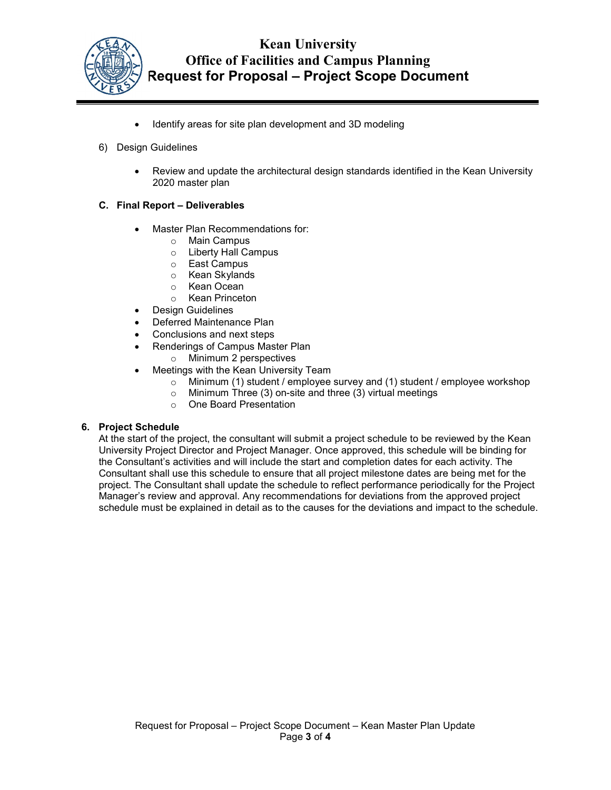

## Kean University Office of Facilities and Campus Planning Request for Proposal – Project Scope Document

- Identify areas for site plan development and 3D modeling
- 6) Design Guidelines
	- Review and update the architectural design standards identified in the Kean University 2020 master plan

#### C. Final Report – Deliverables

- Master Plan Recommendations for:
	- o Main Campus
	- o Liberty Hall Campus
	- o East Campus
	- o Kean Skylands
	- o Kean Ocean
	- o Kean Princeton
- Design Guidelines
- Deferred Maintenance Plan
- Conclusions and next steps
	- Renderings of Campus Master Plan
		- o Minimum 2 perspectives
- Meetings with the Kean University Team
	- o Minimum (1) student / employee survey and (1) student / employee workshop
	- o Minimum Three (3) on-site and three (3) virtual meetings
	- o One Board Presentation

#### 6. Project Schedule

At the start of the project, the consultant will submit a project schedule to be reviewed by the Kean University Project Director and Project Manager. Once approved, this schedule will be binding for the Consultant's activities and will include the start and completion dates for each activity. The Consultant shall use this schedule to ensure that all project milestone dates are being met for the project. The Consultant shall update the schedule to reflect performance periodically for the Project Manager's review and approval. Any recommendations for deviations from the approved project schedule must be explained in detail as to the causes for the deviations and impact to the schedule.